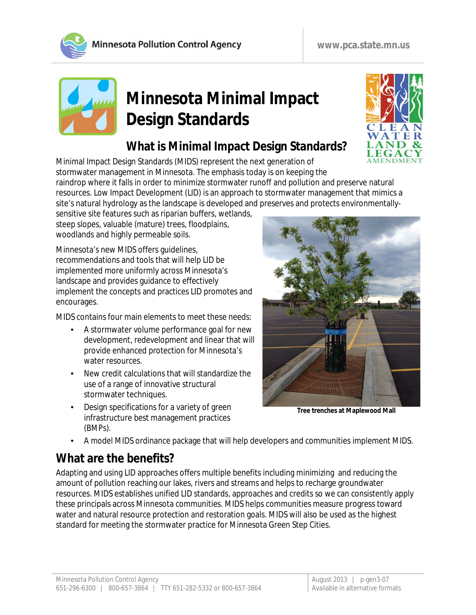



# **Minnesota Minimal Impact Design Standards**

# **What is Minimal Impact Design Standards?**

Minimal Impact Design Standards (MIDS) represent the next generation of stormwater management in Minnesota. The emphasis today is on keeping the raindrop where it falls in order to minimize stormwater runoff and pollution and preserve natural resources. Low Impact Development (LID) is an approach to stormwater management that mimics a site's natural hydrology as the landscape is developed and preserves and protects environmentally-

sensitive site features such as riparian buffers, wetlands, steep slopes, valuable (mature) trees, floodplains, woodlands and highly permeable soils.

Minnesota's new MIDS offers guidelines, recommendations and tools that will help LID be implemented more uniformly across Minnesota's landscape and provides guidance to effectively implement the concepts and practices LID promotes and encourages.

MIDS contains four main elements to meet these needs:

- A stormwater volume performance goal for new development, redevelopment and linear that will provide enhanced protection for Minnesota's water resources.
- New credit calculations that will standardize the use of a range of innovative structural stormwater techniques.
- Design specifications for a variety of green infrastructure best management practices (BMPs).



**Tree trenches at Maplewood Mall**

A model MIDS ordinance package that will help developers and communities implement MIDS.

### **What are the benefits?**

Adapting and using LID approaches offers multiple benefits including minimizing and reducing the amount of pollution reaching our lakes, rivers and streams and helps to recharge groundwater resources. MIDS establishes unified LID standards, approaches and credits so we can consistently apply these principals across Minnesota communities. MIDS helps communities measure progress toward water and natural resource protection and restoration goals. MIDS will also be used as the highest standard for meeting the stormwater practice for Minnesota Green Step Cities.

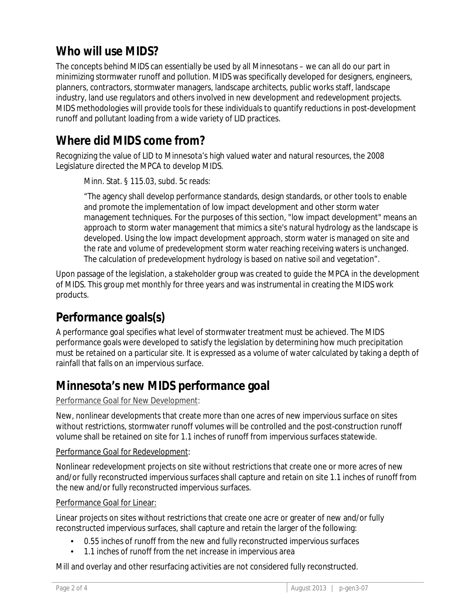### **Who will use MIDS?**

The concepts behind MIDS can essentially be used by all Minnesotans – we can all do our part in minimizing stormwater runoff and pollution. MIDS was specifically developed for designers, engineers, planners, contractors, stormwater managers, landscape architects, public works staff, landscape industry, land use regulators and others involved in new development and redevelopment projects. MIDS methodologies will provide tools for these individuals to quantify reductions in post-development runoff and pollutant loading from a wide variety of LID practices.

### **Where did MIDS come from?**

Recognizing the value of LID to Minnesota's high valued water and natural resources, the 2008 Legislature directed the MPCA to develop MIDS.

Minn. Stat. § 115.03, subd. 5c reads:

"The agency shall develop performance standards, design standards, or other tools to enable and promote the implementation of low impact development and other storm water management techniques. For the purposes of this section, "low impact development" means an approach to storm water management that mimics a site's natural hydrology as the landscape is developed. Using the low impact development approach, storm water is managed on site and the rate and volume of predevelopment storm water reaching receiving waters is unchanged. The calculation of predevelopment hydrology is based on native soil and vegetation".

Upon passage of the legislation, a stakeholder group was created to guide the MPCA in the development of MIDS. This group met monthly for three years and was instrumental in creating the MIDS work products.

# **Performance goals(s)**

A performance goal specifies what level of stormwater treatment must be achieved. The MIDS performance goals were developed to satisfy the legislation by determining how much precipitation must be retained on a particular site. It is expressed as a volume of water calculated by taking a depth of rainfall that falls on an impervious surface.

### **Minnesota's new MIDS performance goal**

#### Performance Goal for New Development:

New, nonlinear developments that create more than one acres of new impervious surface on sites without restrictions, stormwater runoff volumes will be controlled and the post-construction runoff volume shall be retained on site for 1.1 inches of runoff from impervious surfaces statewide.

#### Performance Goal for Redevelopment:

Nonlinear redevelopment projects on site without restrictions that create one or more acres of new and/or fully reconstructed impervious surfaces shall capture and retain on site 1.1 inches of runoff from the new and/or fully reconstructed impervious surfaces.

#### Performance Goal for Linear:

Linear projects on sites without restrictions that create one acre or greater of new and/or fully reconstructed impervious surfaces, shall capture and retain the larger of the following:

- 0.55 inches of runoff from the new and fully reconstructed impervious surfaces
- 1.1 inches of runoff from the net increase in impervious area

Mill and overlay and other resurfacing activities are not considered fully reconstructed.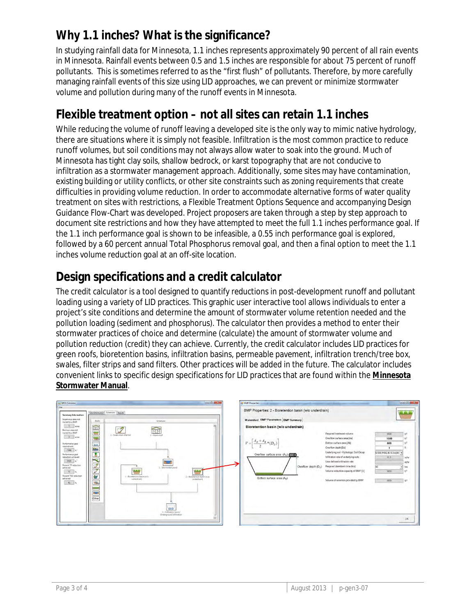# **Why 1.1 inches? What is the significance?**

In studying rainfall data for Minnesota, 1.1 inches represents approximately 90 percent of all rain events in Minnesota. Rainfall events between 0.5 and 1.5 inches are responsible for about 75 percent of runoff pollutants. This is sometimes referred to as the "first flush" of pollutants. Therefore, by more carefully managing rainfall events of this size using LID approaches, we can prevent or minimize stormwater volume and pollution during many of the runoff events in Minnesota.

## **Flexible treatment option – not all sites can retain 1.1 inches**

While reducing the volume of runoff leaving a developed site is the only way to mimic native hydrology, there are situations where it is simply not feasible. Infiltration is the most common practice to reduce runoff volumes, but soil conditions may not always allow water to soak into the ground. Much of Minnesota has tight clay soils, shallow bedrock, or karst topography that are not conducive to infiltration as a stormwater management approach. Additionally, some sites may have contamination, existing building or utility conflicts, or other site constraints such as zoning requirements that create difficulties in providing volume reduction. In order to accommodate alternative forms of water quality treatment on sites with restrictions, a Flexible Treatment Options Sequence and accompanying Design Guidance Flow-Chart was developed. Project proposers are taken through a step by step approach to document site restrictions and how they have attempted to meet the full 1.1 inches performance goal. If the 1.1 inch performance goal is shown to be infeasible, a 0.55 inch performance goal is explored, followed by a 60 percent annual Total Phosphorus removal goal, and then a final option to meet the 1.1 inches volume reduction goal at an off-site location.

## **Design specifications and a credit calculator**

The credit calculator is a tool designed to quantify reductions in post-development runoff and pollutant loading using a variety of LID practices. This graphic user interactive tool allows individuals to enter a project's site conditions and determine the amount of stormwater volume retention needed and the pollution loading (sediment and phosphorus). The calculator then provides a method to enter their stormwater practices of choice and determine (calculate) the amount of stormwater volume and pollution reduction (credit) they can achieve. Currently, the credit calculator includes LID practices for green roofs, bioretention basins, infiltration basins, permeable pavement, infiltration trench/tree box, swales, filter strips and sand filters. Other practices will be added in the future. The calculator includes convenient links to specific design specifications for LID practices that are found within the **Minnesota Stormwater Manual**.